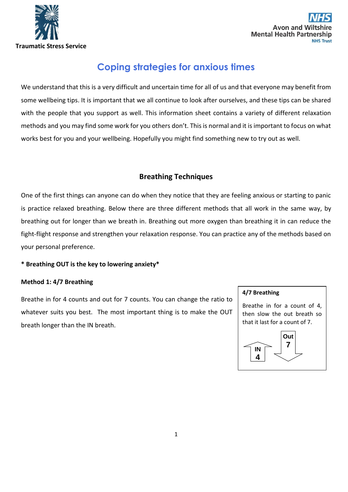



# **Coping strategies for anxious times**

We understand that this is a very difficult and uncertain time for all of us and that everyone may benefit from some wellbeing tips. It is important that we all continue to look after ourselves, and these tips can be shared with the people that you support as well. This information sheet contains a variety of different relaxation methods and you may find some work for you others don't. This is normal and it is important to focus on what works best for you and your wellbeing. Hopefully you might find something new to try out as well.

# **Breathing Techniques**

One of the first things can anyone can do when they notice that they are feeling anxious or starting to panic is practice relaxed breathing. Below there are three different methods that all work in the same way, by breathing out for longer than we breath in. Breathing out more oxygen than breathing it in can reduce the fight-flight response and strengthen your relaxation response. You can practice any of the methods based on your personal preference.

### **\* Breathing OUT is the key to lowering anxiety\***

#### **Method 1: 4/7 Breathing**

Breathe in for 4 counts and out for 7 counts. You can change the ratio to whatever suits you best. The most important thing is to make the OUT breath longer than the IN breath.

#### **4/7 Breathing**

Breathe in for a count of 4, then slow the out breath so that it last for a count of 7.

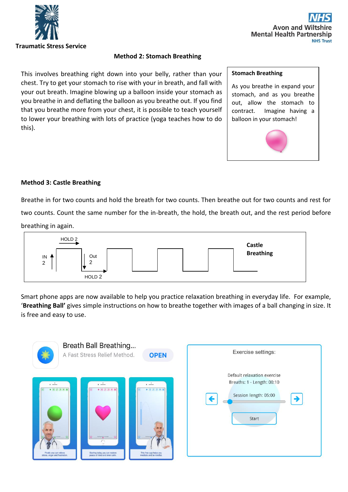



### **Method 2: Stomach Breathing**

This involves breathing right down into your belly, rather than your chest. Try to get your stomach to rise with your in breath, and fall with your out breath. Imagine blowing up a balloon inside your stomach as you breathe in and deflating the balloon as you breathe out. If you find that you breathe more from your chest, it is possible to teach yourself to lower your breathing with lots of practice (yoga teaches how to do this).

#### **Stomach Breathing**

As you breathe in expand your stomach, and as you breathe out, allow the stomach to contract. Imagine having a balloon in your stomach!



### **Method 3: Castle Breathing**

Breathe in for two counts and hold the breath for two counts. Then breathe out for two counts and rest for two counts. Count the same number for the in-breath, the hold, the breath out, and the rest period before breathing in again.



Smart phone apps are now available to help you practice relaxation breathing in everyday life. For example, '**Breathing Ball'** gives simple instructions on how to breathe together with images of a ball changing in size. It is free and easy to use.

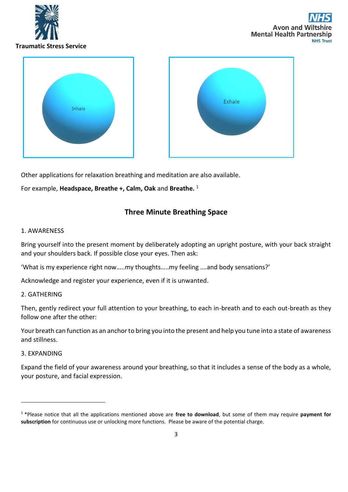

Avon and W **Mental Health Partnership NHS Trust** 



Other applications for relaxation breathing and meditation are also available.

For example, **Headspace, Breathe +, Calm, Oak** and **Breathe.** <sup>1</sup>

### **Three Minute Breathing Space**

#### 1. AWARENESS

Bring yourself into the present moment by deliberately adopting an upright posture, with your back straight and your shoulders back. If possible close your eyes. Then ask:

'What is my experience right now…..my thoughts…..my feeling ….and body sensations?'

Acknowledge and register your experience, even if it is unwanted.

#### 2. GATHERING

Then, gently redirect your full attention to your breathing, to each in-breath and to each out-breath as they follow one after the other:

Your breath can function as an anchor to bring you into the present and help you tune into a state of awareness and stillness.

#### 3. EXPANDING

Expand the field of your awareness around your breathing, so that it includes a sense of the body as a whole, your posture, and facial expression.

<sup>1</sup> \*Please notice that all the applications mentioned above are **free to download**, but some of them may require **payment for subscription** for continuous use or unlocking more functions. Please be aware of the potential charge.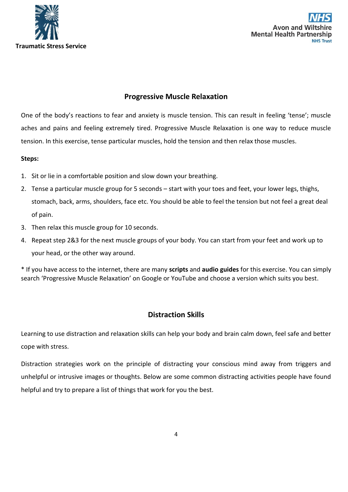



# **Progressive Muscle Relaxation**

One of the body's reactions to fear and anxiety is muscle tension. This can result in feeling 'tense'; muscle aches and pains and feeling extremely tired. Progressive Muscle Relaxation is one way to reduce muscle tension. In this exercise, tense particular muscles, hold the tension and then relax those muscles.

### **Steps:**

- 1. Sit or lie in a comfortable position and slow down your breathing.
- 2. Tense a particular muscle group for 5 seconds start with your toes and feet, your lower legs, thighs, stomach, back, arms, shoulders, face etc. You should be able to feel the tension but not feel a great deal of pain.
- 3. Then relax this muscle group for 10 seconds.
- 4. Repeat step 2&3 for the next muscle groups of your body. You can start from your feet and work up to your head, or the other way around.

\* If you have access to the internet, there are many **scripts** and **audio guides** for this exercise. You can simply search 'Progressive Muscle Relaxation' on Google or YouTube and choose a version which suits you best.

## **Distraction Skills**

Learning to use distraction and relaxation skills can help your body and brain calm down, feel safe and better cope with stress.

Distraction strategies work on the principle of distracting your conscious mind away from triggers and unhelpful or intrusive images or thoughts. Below are some common distracting activities people have found helpful and try to prepare a list of things that work for you the best.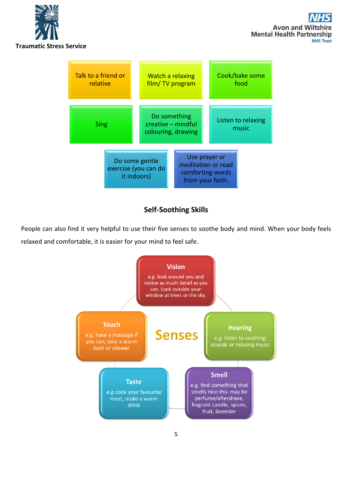



# **Self-Soothing Skills**

People can also find it very helpful to use their five senses to soothe body and mind. When your body feels relaxed and comfortable, it is easier for your mind to feel safe.

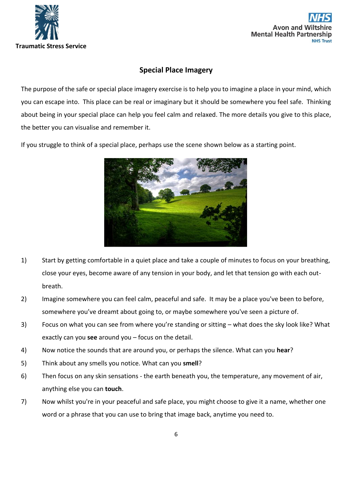



# **Special Place Imagery**

The purpose of the safe or special place imagery exercise is to help you to imagine a place in your mind, which you can escape into. This place can be real or imaginary but it should be somewhere you feel safe. Thinking about being in your special place can help you feel calm and relaxed. The more details you give to this place, the better you can visualise and remember it.

If you struggle to think of a special place, perhaps use the scene shown below as a starting point.



- 1) Start by getting comfortable in a quiet place and take a couple of minutes to focus on your breathing, close your eyes, become aware of any tension in your body, and let that tension go with each outbreath.
- 2) Imagine somewhere you can feel calm, peaceful and safe. It may be a place you've been to before, somewhere you've dreamt about going to, or maybe somewhere you've seen a picture of.
- 3) Focus on what you can see from where you're standing or sitting what does the sky look like? What exactly can you **see** around you – focus on the detail.
- 4) Now notice the sounds that are around you, or perhaps the silence. What can you **hear**?
- 5) Think about any smells you notice. What can you **smell**?
- 6) Then focus on any skin sensations the earth beneath you, the temperature, any movement of air, anything else you can **touch**.
- 7) Now whilst you're in your peaceful and safe place, you might choose to give it a name, whether one word or a phrase that you can use to bring that image back, anytime you need to.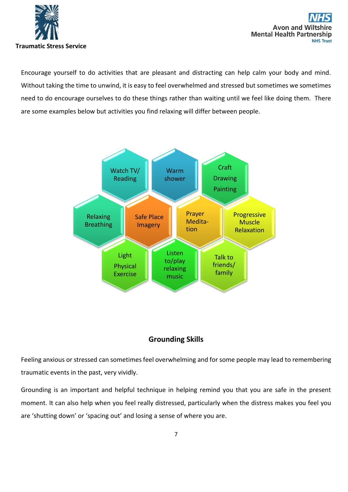

Encourage yourself to do activities that are pleasant and distracting can help calm your body and mind. Without taking the time to unwind, it is easy to feel overwhelmed and stressed but sometimes we sometimes need to do encourage ourselves to do these things rather than waiting until we feel like doing them. There are some examples below but activities you find relaxing will differ between people.



# **Grounding Skills**

Feeling anxious or stressed can sometimes feel overwhelming and for some people may lead to remembering traumatic events in the past, very vividly.

Grounding is an important and helpful technique in helping remind you that you are safe in the present moment. It can also help when you feel really distressed, particularly when the distress makes you feel you are 'shutting down' or 'spacing out' and losing a sense of where you are.